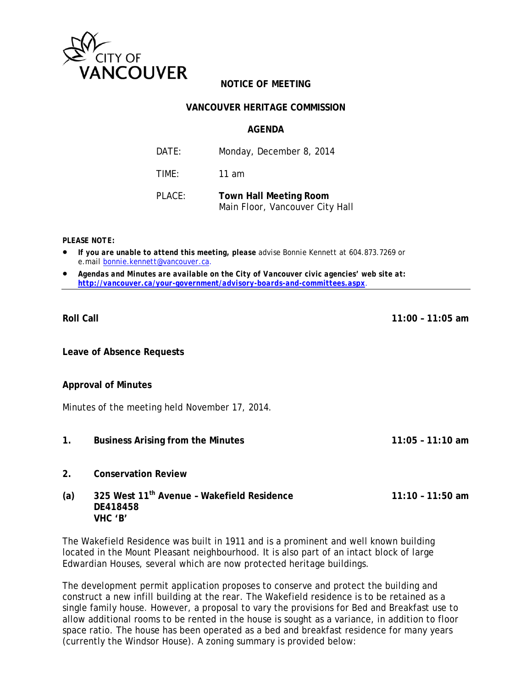

# **NOTICE OF MEETING**

### **VANCOUVER HERITAGE COMMISSION**

#### **AGENDA**

| DATE:     | Monday, December 8, 2014                                         |
|-----------|------------------------------------------------------------------|
| TIME:     | 11 am                                                            |
| $PI$ ACF: | <b>Town Hall Meeting Room</b><br>Main Floor, Vancouver City Hall |

*PLEASE NOTE:* 

- *If you are unable to attend this meeting, please advise Bonnie Kennett at 604.873.7269 or e.mail bonnie.kennett@vancouver.ca*.
- *Agendas and Minutes are available on the City of Vancouver civic agencies' web site at: http://vancouver.ca/your-government/advisory-boards-and-committees.aspx*.

**Leave of Absence Requests** 

#### **Approval of Minutes**

Minutes of the meeting held November 17, 2014.

- **1. Business Arising from the Minutes 11:05 11:10 am**
- **2. Conservation Review**
- **(a) 325 West 11th Avenue Wakefield Residence 11:10 11:50 am DE418458 VHC 'B'**

The Wakefield Residence was built in 1911 and is a prominent and well known building located in the Mount Pleasant neighbourhood. It is also part of an intact block of large Edwardian Houses, several which are now protected heritage buildings.

The development permit application proposes to conserve and protect the building and construct a new infill building at the rear. The Wakefield residence is to be retained as a single family house. However, a proposal to vary the provisions for Bed and Breakfast use to allow additional rooms to be rented in the house is sought as a variance, in addition to floor space ratio. The house has been operated as a bed and breakfast residence for many years (currently the Windsor House). A zoning summary is provided below:

**Roll Call 11:00 – 11:05 am**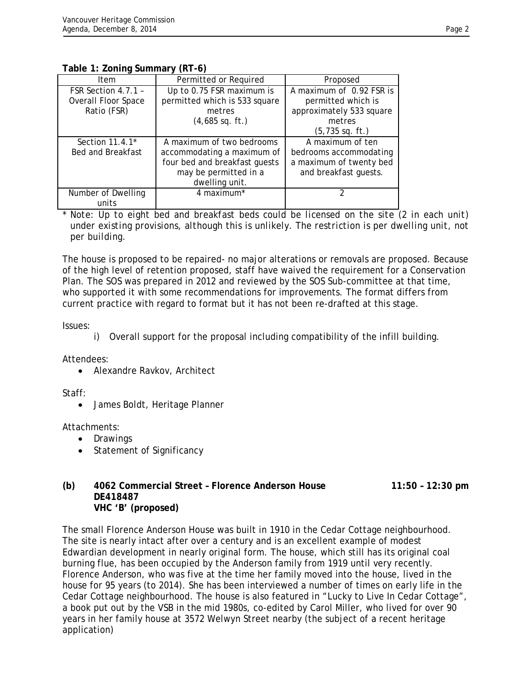**Table 1: Zoning Summary (RT-6)** 

| Item                                                             | Permitted or Required                                                                                                               | Proposed                                                                                                           |  |  |
|------------------------------------------------------------------|-------------------------------------------------------------------------------------------------------------------------------------|--------------------------------------------------------------------------------------------------------------------|--|--|
| FSR Section 4.7.1 -<br><b>Overall Floor Space</b><br>Ratio (FSR) | Up to 0.75 FSR maximum is<br>permitted which is 533 square<br>metres<br>$(4,685$ sq. ft.)                                           | A maximum of 0.92 FSR is<br>permitted which is<br>approximately 533 square<br>metres<br>$(5, 735 \text{ sq. ft.})$ |  |  |
| Section 11.4.1*<br><b>Bed and Breakfast</b>                      | A maximum of two bedrooms<br>accommodating a maximum of<br>four bed and breakfast guests<br>may be permitted in a<br>dwelling unit. | A maximum of ten<br>bedrooms accommodating<br>a maximum of twenty bed<br>and breakfast guests.                     |  |  |
| Number of Dwelling<br>units                                      | 4 maximum*                                                                                                                          |                                                                                                                    |  |  |

\* *Note: Up to eight bed and breakfast beds could be licensed on the site (2 in each unit) under existing provisions, although this is unlikely. The restriction is per dwelling unit, not per building.* 

The house is proposed to be repaired- no major alterations or removals are proposed. Because of the high level of retention proposed, staff have waived the requirement for a Conservation Plan. The SOS was prepared in 2012 and reviewed by the SOS Sub-committee at that time, who supported it with some recommendations for improvements. The format differs from current practice with regard to format but it has not been re-drafted at this stage.

Issues:

Attendees:

• Alexandre Ravkov, Architect

Staff:

James Boldt, Heritage Planner

Attachments:

- Drawings
- Statement of Significancy

#### **(b) 4062 Commercial Street – Florence Anderson House 11:50 – 12:30 pm DE418487 VHC 'B' (proposed)**

The small Florence Anderson House was built in 1910 in the Cedar Cottage neighbourhood. The site is nearly intact after over a century and is an excellent example of modest Edwardian development in nearly original form. The house, which still has its original coal burning flue, has been occupied by the Anderson family from 1919 until very recently. Florence Anderson, who was five at the time her family moved into the house, lived in the house for 95 years (to 2014). She has been interviewed a number of times on early life in the Cedar Cottage neighbourhood. The house is also featured in "Lucky to Live In Cedar Cottage", a book put out by the VSB in the mid 1980s, co-edited by Carol Miller, who lived for over 90 years in her family house at 3572 Welwyn Street nearby (the subject of a recent heritage application)

i) Overall support for the proposal including compatibility of the infill building.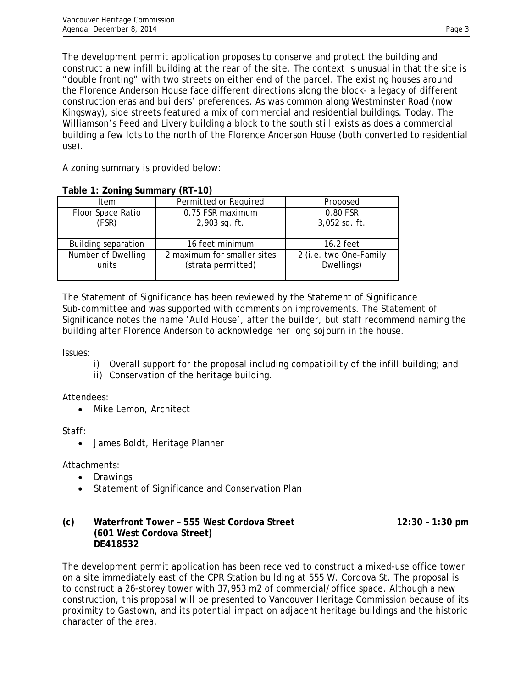The development permit application proposes to conserve and protect the building and construct a new infill building at the rear of the site. The context is unusual in that the site is "double fronting" with two streets on either end of the parcel. The existing houses around the Florence Anderson House face different directions along the block- a legacy of different construction eras and builders' preferences. As was common along Westminster Road (now Kingsway), side streets featured a mix of commercial and residential buildings. Today, The Williamson's Feed and Livery building a block to the south still exists as does a commercial building a few lots to the north of the Florence Anderson House (both converted to residential use).

A zoning summary is provided below:

|                             | $\overline{\phantom{a}}$                          |                                      |
|-----------------------------|---------------------------------------------------|--------------------------------------|
| Item                        | Permitted or Required                             | Proposed                             |
| Floor Space Ratio<br>(FSR)  | 0.75 FSR maximum<br>2,903 sq. ft.                 | 0.80 FSR<br>$3,052$ sq. ft.          |
| <b>Building separation</b>  | 16 feet minimum                                   | 16.2 feet                            |
| Number of Dwelling<br>units | 2 maximum for smaller sites<br>(strata permitted) | 2 (i.e. two One-Family<br>Dwellings) |

# **Table 1: Zoning Summary (RT-10)**

The Statement of Significance has been reviewed by the Statement of Significance Sub-committee and was supported with comments on improvements. The Statement of Significance notes the name 'Auld House', after the builder, but staff recommend naming the building after Florence Anderson to acknowledge her long sojourn in the house.

Issues:

- i) Overall support for the proposal including compatibility of the infill building; and
- ii) Conservation of the heritage building.

Attendees:

• Mike Lemon, Architect

Staff:

James Boldt, Heritage Planner

Attachments:

- Drawings
- Statement of Significance and Conservation Plan

### (c) Waterfront Tower - 555 West Cordova Street 12:30 - 1:30 pm **(601 West Cordova Street) DE418532**

The development permit application has been received to construct a mixed-use office tower on a site immediately east of the CPR Station building at 555 W. Cordova St. The proposal is to construct a 26-storey tower with 37,953 m2 of commercial/office space. Although a new construction, this proposal will be presented to Vancouver Heritage Commission because of its proximity to Gastown, and its potential impact on adjacent heritage buildings and the historic character of the area.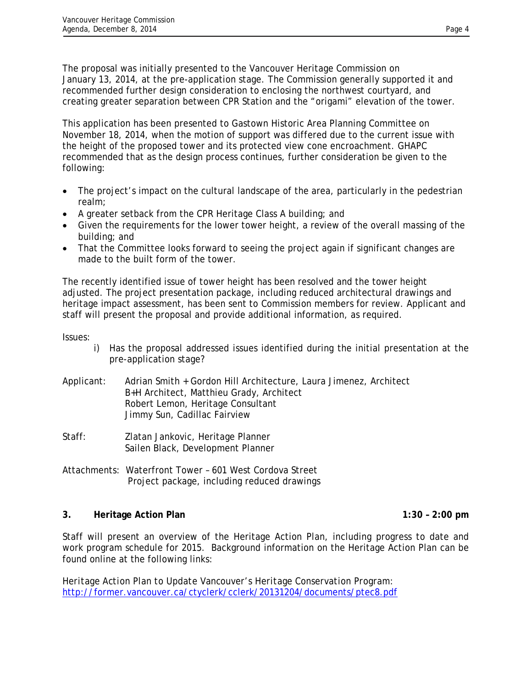The proposal was initially presented to the Vancouver Heritage Commission on January 13, 2014, at the pre-application stage. The Commission generally supported it and recommended further design consideration to enclosing the northwest courtyard, and creating greater separation between CPR Station and the "origami" elevation of the tower.

This application has been presented to Gastown Historic Area Planning Committee on November 18, 2014, when the motion of support was differed due to the current issue with the height of the proposed tower and its protected view cone encroachment. GHAPC recommended that as the design process continues, further consideration be given to the following:

- The project's impact on the cultural landscape of the area, particularly in the pedestrian realm;
- A greater setback from the CPR Heritage Class A building; and
- Given the requirements for the lower tower height, a review of the overall massing of the building; and
- That the Committee looks forward to seeing the project again if significant changes are made to the built form of the tower.

The recently identified issue of tower height has been resolved and the tower height adjusted. The project presentation package, including reduced architectural drawings and heritage impact assessment, has been sent to Commission members for review. Applicant and staff will present the proposal and provide additional information, as required.

Issues:

- i) Has the proposal addressed issues identified during the initial presentation at the pre-application stage?
- Applicant: Adrian Smith + Gordon Hill Architecture, Laura Jimenez, Architect B+H Architect, Matthieu Grady, Architect Robert Lemon, Heritage Consultant Jimmy Sun, Cadillac Fairview
- Staff: Zlatan Jankovic, Heritage Planner Sailen Black, Development Planner

Attachments: Waterfront Tower – 601 West Cordova Street Project package, including reduced drawings

### **3. Heritage Action Plan 1:30 – 2:00 pm**

Staff will present an overview of the Heritage Action Plan, including progress to date and work program schedule for 2015. Background information on the Heritage Action Plan can be found online at the following links:

*Heritage Action Plan to Update Vancouver's Heritage Conservation Program:*  http://former.vancouver.ca/ctyclerk/cclerk/20131204/documents/ptec8.pdf